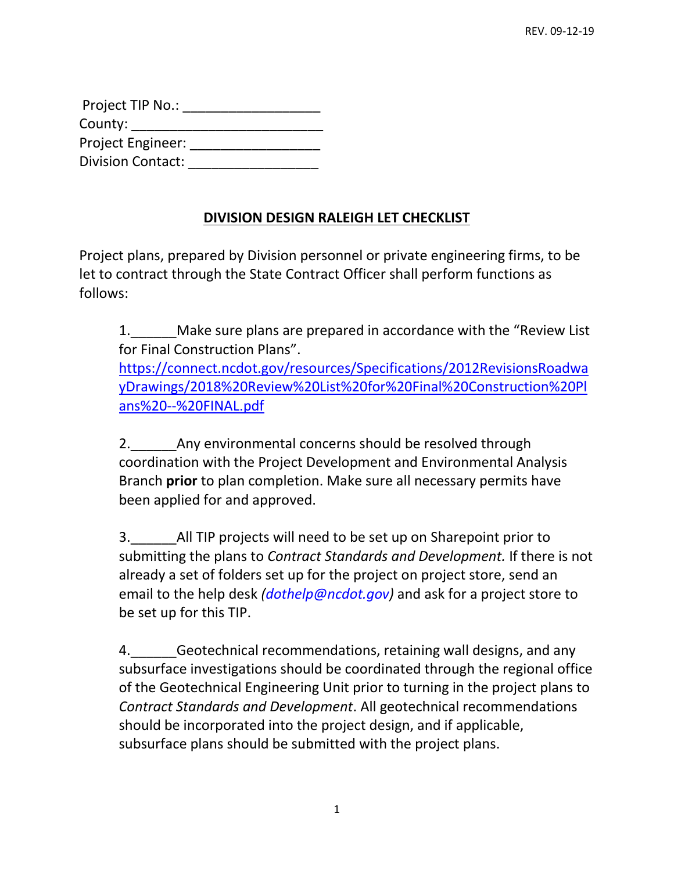| Project TIP No.:         |  |
|--------------------------|--|
| County:                  |  |
| <b>Project Engineer:</b> |  |
| <b>Division Contact:</b> |  |

## **DIVISION DESIGN RALEIGH LET CHECKLIST**

Project plans, prepared by Division personnel or private engineering firms, to be let to contract through the State Contract Officer shall perform functions as follows:

1. Make sure plans are prepared in accordance with the "Review List" for Final Construction Plans". [https://connect.ncdot.gov/resources/Specifications/2012RevisionsRoadwa](https://connect.ncdot.gov/resources/Specifications/2012RevisionsRoadwayDrawings/2018%20Review%20List%20for%20Final%20Construction%20Plans%20--%20FINAL.pdf) [yDrawings/2018%20Review%20List%20for%20Final%20Construction%20Pl](https://connect.ncdot.gov/resources/Specifications/2012RevisionsRoadwayDrawings/2018%20Review%20List%20for%20Final%20Construction%20Plans%20--%20FINAL.pdf) [ans%20--%20FINAL.pdf](https://connect.ncdot.gov/resources/Specifications/2012RevisionsRoadwayDrawings/2018%20Review%20List%20for%20Final%20Construction%20Plans%20--%20FINAL.pdf)

2. Any environmental concerns should be resolved through coordination with the Project Development and Environmental Analysis Branch **prior** to plan completion. Make sure all necessary permits have been applied for and approved.

3.\_\_\_\_\_\_All TIP projects will need to be set up on Sharepoint prior to submitting the plans to *Contract Standards and Development.* If there is not already a set of folders set up for the project on project store, send an email to the help desk *(dothelp@ncdot.gov)* and ask for a project store to be set up for this TIP.

4. Geotechnical recommendations, retaining wall designs, and any subsurface investigations should be coordinated through the regional office of the Geotechnical Engineering Unit prior to turning in the project plans to *Contract Standards and Development*. All geotechnical recommendations should be incorporated into the project design, and if applicable, subsurface plans should be submitted with the project plans.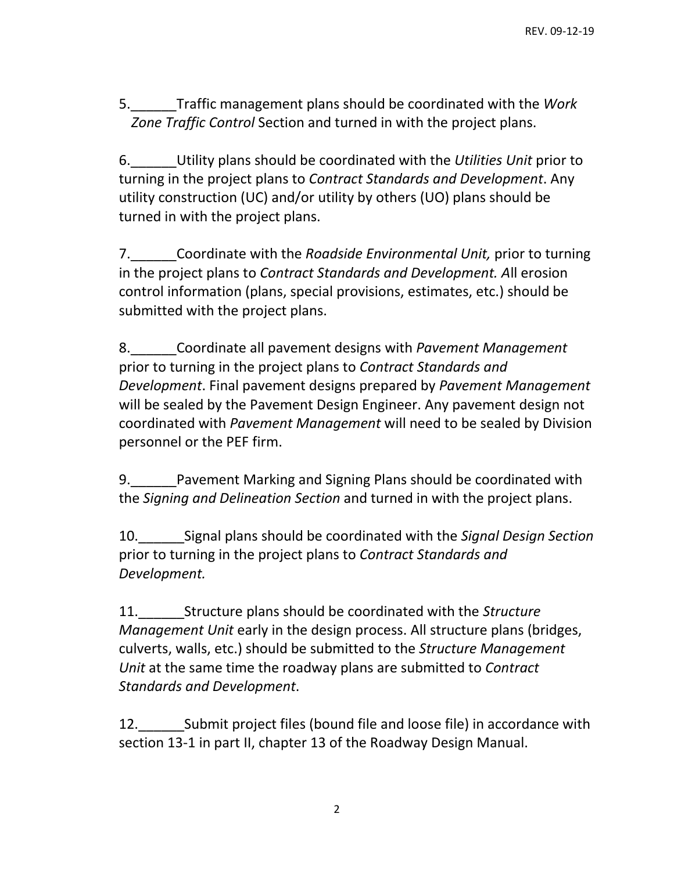5.\_\_\_\_\_\_Traffic management plans should be coordinated with the *Work Zone Traffic Control* Section and turned in with the project plans.

6.\_\_\_\_\_\_Utility plans should be coordinated with the *Utilities Unit* prior to turning in the project plans to *Contract Standards and Development*. Any utility construction (UC) and/or utility by others (UO) plans should be turned in with the project plans.

7.\_\_\_\_\_\_Coordinate with the *Roadside Environmental Unit,* prior to turning in the project plans to *Contract Standards and Development. A*ll erosion control information (plans, special provisions, estimates, etc.) should be submitted with the project plans.

8.\_\_\_\_\_\_Coordinate all pavement designs with *Pavement Management*  prior to turning in the project plans to *Contract Standards and Development*. Final pavement designs prepared by *Pavement Management*  will be sealed by the Pavement Design Engineer. Any pavement design not coordinated with *Pavement Management* will need to be sealed by Division personnel or the PEF firm.

9. Pavement Marking and Signing Plans should be coordinated with the *Signing and Delineation Section* and turned in with the project plans.

10.\_\_\_\_\_\_Signal plans should be coordinated with the *Signal Design Section*  prior to turning in the project plans to *Contract Standards and Development.*

11.\_\_\_\_\_\_Structure plans should be coordinated with the *Structure Management Unit* early in the design process. All structure plans (bridges, culverts, walls, etc.) should be submitted to the *Structure Management Unit* at the same time the roadway plans are submitted to *Contract Standards and Development*.

12.\_\_\_\_\_\_Submit project files (bound file and loose file) in accordance with section 13-1 in part II, chapter 13 of the Roadway Design Manual.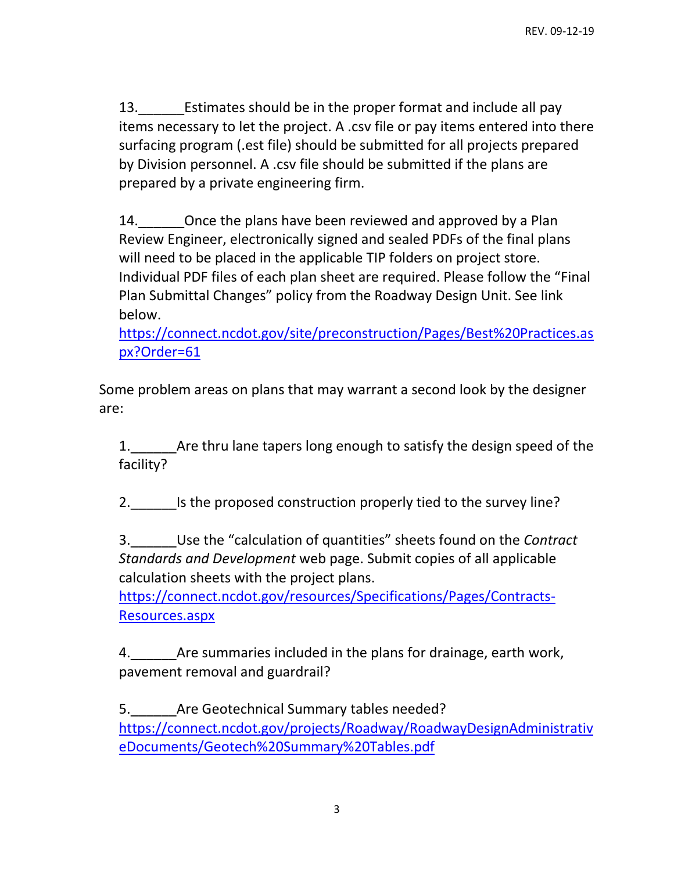13.\_\_\_\_\_\_Estimates should be in the proper format and include all pay items necessary to let the project. A .csv file or pay items entered into there surfacing program (.est file) should be submitted for all projects prepared by Division personnel. A .csv file should be submitted if the plans are prepared by a private engineering firm.

14. Once the plans have been reviewed and approved by a Plan Review Engineer, electronically signed and sealed PDFs of the final plans will need to be placed in the applicable TIP folders on project store. Individual PDF files of each plan sheet are required. Please follow the "Final Plan Submittal Changes" policy from the Roadway Design Unit. See link below.

[https://connect.ncdot.gov/site/preconstruction/Pages/Best%20Practices.as](https://connect.ncdot.gov/site/preconstruction/Pages/Best%20Practices.aspx?Order=61) [px?Order=61](https://connect.ncdot.gov/site/preconstruction/Pages/Best%20Practices.aspx?Order=61)

Some problem areas on plans that may warrant a second look by the designer are:

1. Are thru lane tapers long enough to satisfy the design speed of the facility?

2. Is the proposed construction properly tied to the survey line?

3.\_\_\_\_\_\_Use the "calculation of quantities" sheets found on the *Contract Standards and Development* web page. Submit copies of all applicable calculation sheets with the project plans.

[https://connect.ncdot.gov/resources/Specifications/Pages/Contracts-](https://connect.ncdot.gov/resources/Specifications/Pages/Contracts-Resources.aspx)[Resources.aspx](https://connect.ncdot.gov/resources/Specifications/Pages/Contracts-Resources.aspx)

4. Are summaries included in the plans for drainage, earth work, pavement removal and guardrail?

5. Are Geotechnical Summary tables needed? [https://connect.ncdot.gov/projects/Roadway/RoadwayDesignAdministrativ](https://connect.ncdot.gov/projects/Roadway/RoadwayDesignAdministrativeDocuments/Geotech%20Summary%20Tables.pdf) [eDocuments/Geotech%20Summary%20Tables.pdf](https://connect.ncdot.gov/projects/Roadway/RoadwayDesignAdministrativeDocuments/Geotech%20Summary%20Tables.pdf)